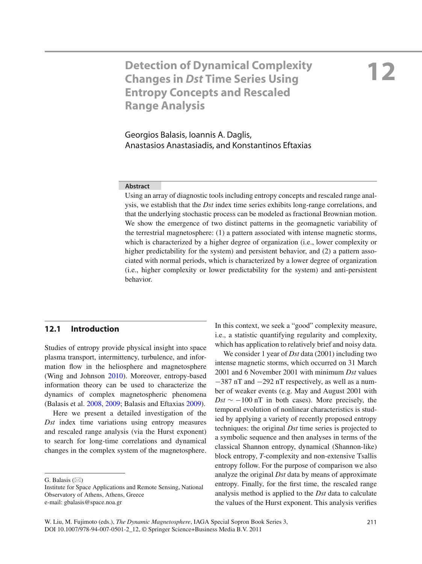# **12 Detection of Dynamical Complexity Changes in** *Dst* **Time Series Using Entropy Concepts and Rescaled Range Analysis**

Georgios Balasis, Ioannis A. Daglis, Anastasios Anastasiadis, and Konstantinos Eftaxias

#### **Abstract**

Using an array of diagnostic tools including entropy concepts and rescaled range analysis, we establish that the *Dst* index time series exhibits long-range correlations, and that the underlying stochastic process can be modeled as fractional Brownian motion. We show the emergence of two distinct patterns in the geomagnetic variability of the terrestrial magnetosphere: (1) a pattern associated with intense magnetic storms, which is characterized by a higher degree of organization (i.e., lower complexity or higher predictability for the system) and persistent behavior, and (2) a pattern associated with normal periods, which is characterized by a lower degree of organization (i.e., higher complexity or lower predictability for the system) and anti-persistent behavior.

## **12.1 Introduction**

Studies of entropy provide physical insight into space plasma transport, intermittency, turbulence, and information flow in the heliosphere and magnetosphere (Wing and Johnson [2010\)](#page-9-0). Moreover, entropy-based information theory can be used to characterize the dynamics of complex magnetospheric phenomena (Balasis et al. [2008,](#page-8-0) [2009;](#page-8-1) Balasis and Eftaxias [2009\)](#page-8-2).

Here we present a detailed investigation of the *Dst* index time variations using entropy measures and rescaled range analysis (via the Hurst exponent) to search for long-time correlations and dynamical changes in the complex system of the magnetosphere. In this context, we seek a "good" complexity measure, i.e., a statistic quantifying regularity and complexity, which has application to relatively brief and noisy data.

We consider 1 year of *Dst* data (2001) including two intense magnetic storms, which occurred on 31 March 2001 and 6 November 2001 with minimum *Dst* values −387 nT and −292 nT respectively, as well as a number of weaker events (e.g. May and August 2001 with  $Dst \sim -100$  nT in both cases). More precisely, the temporal evolution of nonlinear characteristics is studied by applying a variety of recently proposed entropy techniques: the original *Dst* time series is projected to a symbolic sequence and then analyses in terms of the classical Shannon entropy, dynamical (Shannon-like) block entropy, *T*-complexity and non-extensive Tsallis entropy follow. For the purpose of comparison we also analyze the original *Dst* data by means of approximate entropy. Finally, for the first time, the rescaled range analysis method is applied to the *Dst* data to calculate the values of the Hurst exponent. This analysis verifies

G. Balasis  $(\boxtimes)$ 

Institute for Space Applications and Remote Sensing, National Observatory of Athens, Athens, Greece e-mail: gbalasis@space.noa.gr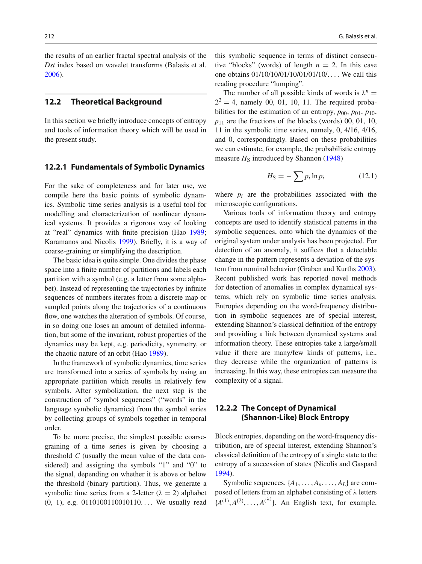the results of an earlier fractal spectral analysis of the *Dst* index based on wavelet transforms (Balasis et al. [2006\)](#page-8-3).

# **12.2 Theoretical Background**

In this section we briefly introduce concepts of entropy and tools of information theory which will be used in the present study.

## **12.2.1 Fundamentals of Symbolic Dynamics**

For the sake of completeness and for later use, we compile here the basic points of symbolic dynamics. Symbolic time series analysis is a useful tool for modelling and characterization of nonlinear dynamical systems. It provides a rigorous way of looking at "real" dynamics with finite precision (Hao [1989;](#page-8-4) Karamanos and Nicolis [1999\)](#page-9-1). Briefly, it is a way of coarse-graining or simplifying the description.

The basic idea is quite simple. One divides the phase space into a finite number of partitions and labels each partition with a symbol (e.g. a letter from some alphabet). Instead of representing the trajectories by infinite sequences of numbers-iterates from a discrete map or sampled points along the trajectories of a continuous flow, one watches the alteration of symbols. Of course, in so doing one loses an amount of detailed information, but some of the invariant, robust properties of the dynamics may be kept, e.g. periodicity, symmetry, or the chaotic nature of an orbit (Hao [1989\)](#page-8-4).

In the framework of symbolic dynamics, time series are transformed into a series of symbols by using an appropriate partition which results in relatively few symbols. After symbolization, the next step is the construction of "symbol sequences" ("words" in the language symbolic dynamics) from the symbol series by collecting groups of symbols together in temporal order.

To be more precise, the simplest possible coarsegraining of a time series is given by choosing a threshold *C* (usually the mean value of the data considered) and assigning the symbols "1" and "0" to the signal, depending on whether it is above or below the threshold (binary partition). Thus, we generate a symbolic time series from a 2-letter  $(\lambda = 2)$  alphabet (0, 1), e.g. 0110100110010110... . We usually read this symbolic sequence in terms of distinct consecutive "blocks" (words) of length  $n = 2$ . In this case one obtains 01/10/10/01/10/01/01/10/... . We call this reading procedure "lumping".

The number of all possible kinds of words is  $\lambda^n =$  $2^2 = 4$ , namely 00, 01, 10, 11. The required probabilities for the estimation of an entropy,  $p_{00}$ ,  $p_{01}$ ,  $p_{10}$ ,  $p_{11}$  are the fractions of the blocks (words) 00, 01, 10, 11 in the symbolic time series, namely, 0, 4/16, 4/16, and 0, correspondingly. Based on these probabilities we can estimate, for example, the probabilistic entropy measure  $H<sub>S</sub>$  introduced by Shannon [\(1948\)](#page-9-2)

$$
H_{\rm S} = -\sum p_i \ln p_i \tag{12.1}
$$

where  $p_i$  are the probabilities associated with the microscopic configurations.

Various tools of information theory and entropy concepts are used to identify statistical patterns in the symbolic sequences, onto which the dynamics of the original system under analysis has been projected. For detection of an anomaly, it suffices that a detectable change in the pattern represents a deviation of the system from nominal behavior (Graben and Kurths [2003\)](#page-8-5). Recent published work has reported novel methods for detection of anomalies in complex dynamical systems, which rely on symbolic time series analysis. Entropies depending on the word-frequency distribution in symbolic sequences are of special interest, extending Shannon's classical definition of the entropy and providing a link between dynamical systems and information theory. These entropies take a large/small value if there are many/few kinds of patterns, i.e., they decrease while the organization of patterns is increasing. In this way, these entropies can measure the complexity of a signal.

# **12.2.2 The Concept of Dynamical (Shannon-Like) Block Entropy**

Block entropies, depending on the word-frequency distribution, are of special interest, extending Shannon's classical definition of the entropy of a single state to the entropy of a succession of states (Nicolis and Gaspard [1994\)](#page-9-3).

Symbolic sequences,  $\{A_1, \ldots, A_n, \ldots, A_L\}$  are composed of letters from an alphabet consisting of λ letters  ${A^{(1)}, A^{(2)}, \ldots, A^{(\lambda)}}$ . An English text, for example,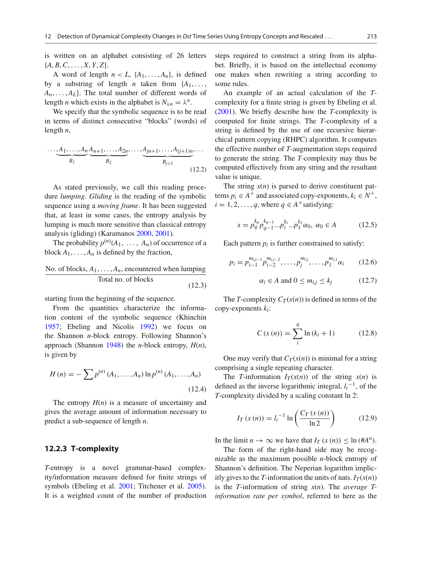is written on an alphabet consisting of 26 letters {*A*, *B*,*C*, ... , *X*, *Y*, *Z*}.

A word of length  $n < L$ ,  $\{A_1, \ldots, A_n\}$ , is defined by a substring of length *n* taken from  $\{A_1, \ldots, A_n\}$ *A<sub>n</sub>*, ..., *A<sub>L</sub>*}. The total number of different words of length *n* which exists in the alphabet is  $N_{\lambda n} = \lambda^n$ .

We specify that the symbolic sequence is to be read in terms of distinct consecutive "blocks" (words) of length *n*,

$$
\cdots \underbrace{A_1, \ldots, A_n}_{B_1} \underbrace{A_{n+1}, \ldots, A_{2n}}_{B_2}, \ldots, \underbrace{A_{jn+1}, \ldots, A_{(j+1)n}}_{B_{j+1}}, \ldots
$$
\n(12.2)

As stated previously, we call this reading procedure *lumping*. *Gliding* is the reading of the symbolic sequence using a *moving frame*. It has been suggested that, at least in some cases, the entropy analysis by lumping is much more sensitive than classical entropy analysis (gliding) (Karamanos [2000,](#page-8-6) [2001\)](#page-8-7).

The probability  $p^{(n)}(A_1, \ldots, A_n)$  of occurrence of a block  $A_1, \ldots, A_n$  is defined by the fraction,

No. of blocks, 
$$
A_1, \ldots, A_n
$$
, encountered when lumping  
Total no. of blocks\n(12.3)

starting from the beginning of the sequence.

From the quantities characterize the information content of the symbolic sequence (Khinchin [1957;](#page-9-4) Ebeling and Nicolis [1992\)](#page-8-8) we focus on the Shannon *n*-block entropy. Following Shannon's approach (Shannon [1948\)](#page-9-2) the *n*-block entropy, *H*(*n*), is given by

$$
H(n) = -\sum p^{(n)} (A_1, \dots, A_n) \ln p^{(n)} (A_1, \dots, A_n)
$$
\n(12.4)

The entropy  $H(n)$  is a measure of uncertainty and gives the average amount of information necessary to predict a sub-sequence of length *n*.

## **12.2.3 T-complexity**

*T-*entropy is a novel grammar-based complexity/information measure defined for finite strings of symbols (Ebeling et al. [2001;](#page-8-9) Titchener et al. [2005\)](#page-9-5). It is a weighted count of the number of production steps required to construct a string from its alphabet. Briefly, it is based on the intellectual economy one makes when rewriting a string according to some rules.

An example of an actual calculation of the *T*complexity for a finite string is given by Ebeling et al. [\(2001\)](#page-8-9). We briefly describe how the *T-*complexity is computed for finite strings. The *T*-complexity of a string is defined by the use of one recursive hierarchical pattern copying (RHPC) algorithm. It computes the effective number of *T*-augmentation steps required to generate the string. The *T*-complexity may thus be computed effectively from any string and the resultant value is unique.

The string  $x(n)$  is parsed to derive constituent patterns  $p_i \in A^+$  and associated copy-exponents,  $k_i \in N^+$ ,  $i = 1, 2, \ldots, q$ , where  $q \in A^+$  satisfying:

$$
x = p_q^{k_q} p_{q-1}^{k_{q-1}} ... p_i^{k_i} ... p_1^{k_1} \alpha_0, \ \alpha_0 \in A \tag{12.5}
$$

Each pattern  $p_i$  is further constrained to satisfy:

$$
p_i = p_{i-1}^{m_{i,i-1}} p_{i-2}^{m_{i,i-2}}, \dots, p_j^{m_{i,j}}, \dots, p_1^{m_{i,1}} \alpha_i \qquad (12.6)
$$

$$
\alpha_i \in A \text{ and } 0 \le m_{i,j} \le k_j \tag{12.7}
$$

The *T*-complexity  $C_T(x(n))$  is defined in terms of the copy-exponents *ki*:

$$
C(x(n)) = \sum_{i}^{q} \ln (k_i + 1)
$$
 (12.8)

One may verify that  $C_T(x(n))$  is minimal for a string comprising a single repeating character.

The *T*-information  $I_T(x(n))$  of the string  $x(n)$  is defined as the inverse logarithmic integral,  $l_i^{-1}$ , of the *T*-complexity divided by a scaling constant ln 2:

$$
I_T(x(n)) = l_i^{-1} \ln \left( \frac{C_T(x(n))}{\ln 2} \right)
$$
 (12.9)

In the limit  $n \to \infty$  we have that  $I_T(x(n)) \leq \ln(\#A^n)$ .

The form of the right-hand side may be recognizable as the maximum possible *n*-block entropy of Shannon's definition. The Neperian logarithm implicitly gives to the *T*-information the units of nats.  $I_T(x(n))$ is the *T*-information of string *x*(*n*). The *average Tinformation rate per symbol*, referred to here as the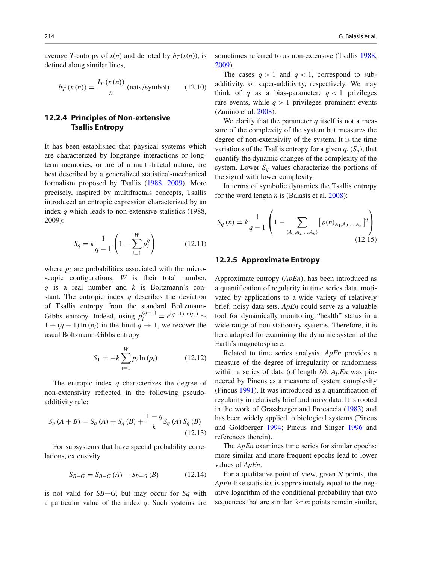average *T*-entropy of  $x(n)$  and denoted by  $h_T(x(n))$ , is defined along similar lines,

$$
h_T(x(n)) = \frac{I_T(x(n))}{n} \text{ (nats/symbol)} \tag{12.10}
$$

# **12.2.4 Principles of Non-extensive Tsallis Entropy**

It has been established that physical systems which are characterized by longrange interactions or longterm memories, or are of a multi-fractal nature, are best described by a generalized statistical-mechanical formalism proposed by Tsallis [\(1988,](#page-9-6) [2009\)](#page-9-7). More precisely, inspired by multifractals concepts, Tsallis introduced an entropic expression characterized by an index *q* which leads to non-extensive statistics (1988, 2009):

$$
S_q = k \frac{1}{q-1} \left( 1 - \sum_{i=1}^{W} p_i^q \right) \tag{12.11}
$$

where  $p_i$  are probabilities associated with the microscopic configurations, *W* is their total number, *q* is a real number and *k* is Boltzmann's constant. The entropic index  $q$  describes the deviation of Tsallis entropy from the standard Boltzmann-Gibbs entropy. Indeed, using  $p_i^{(q-1)} = e^{(q-1)\ln(p_i)} \sim$  $1 + (q - 1) \ln (p_i)$  in the limit  $q \rightarrow 1$ , we recover the usual Boltzmann-Gibbs entropy

$$
S_1 = -k \sum_{i=1}^{W} p_i \ln (p_i)
$$
 (12.12)

The entropic index *q* characterizes the degree of non-extensivity reflected in the following pseudoadditivity rule:

$$
S_q(A + B) = S_a(A) + S_q(B) + \frac{1 - q}{k} S_q(A) S_q(B)
$$
\n(12.13)

For subsystems that have special probability correlations, extensivity

$$
S_{B-G} = S_{B-G} (A) + S_{B-G} (B) \tag{12.14}
$$

is not valid for *SB*−*G*, but may occur for *Sq* with a particular value of the index *q*. Such systems are sometimes referred to as non-extensive (Tsallis [1988,](#page-9-6) [2009\)](#page-9-7).

The cases  $q > 1$  and  $q < 1$ , correspond to subadditivity, or super-additivity, respectively. We may think of *q* as a bias-parameter:  $q < 1$  privileges rare events, while  $q > 1$  privileges prominent events (Zunino et al. [2008\)](#page-9-8).

We clarify that the parameter  $q$  itself is not a measure of the complexity of the system but measures the degree of non-extensivity of the system. It is the time variations of the Tsallis entropy for a given  $q$ ,  $(S_q)$ , that quantify the dynamic changes of the complexity of the system. Lower  $S_q$  values characterize the portions of the signal with lower complexity.

In terms of symbolic dynamics the Tsallis entropy for the word length *n* is (Balasis et al. [2008\)](#page-8-0):

$$
S_q(n) = k \frac{1}{q-1} \left( 1 - \sum_{(A_1, A_2, \dots, A_n)} \left[ p(n)_{A_1, A_2, \dots, A_n} \right]^q \right)
$$
\n(12.15)

## **12.2.5 Approximate Entropy**

Approximate entropy (*ApEn*), has been introduced as a quantification of regularity in time series data, motivated by applications to a wide variety of relatively brief, noisy data sets. *ApEn* could serve as a valuable tool for dynamically monitoring "health" status in a wide range of non-stationary systems. Therefore, it is here adopted for examining the dynamic system of the Earth's magnetosphere.

Related to time series analysis, *ApEn* provides a measure of the degree of irregularity or randomness within a series of data (of length *N*). *ApEn* was pioneered by Pincus as a measure of system complexity (Pincus [1991\)](#page-9-9). It was introduced as a quantification of regularity in relatively brief and noisy data. It is rooted in the work of Grassberger and Procaccia [\(1983\)](#page-8-10) and has been widely applied to biological systems (Pincus and Goldberger [1994;](#page-9-10) Pincus and Singer [1996](#page-9-11) and references therein).

The *ApEn* examines time series for similar epochs: more similar and more frequent epochs lead to lower values of *ApEn*.

For a qualitative point of view, given *N* points, the *ApEn*-like statistics is approximately equal to the negative logarithm of the conditional probability that two sequences that are similar for *m* points remain similar,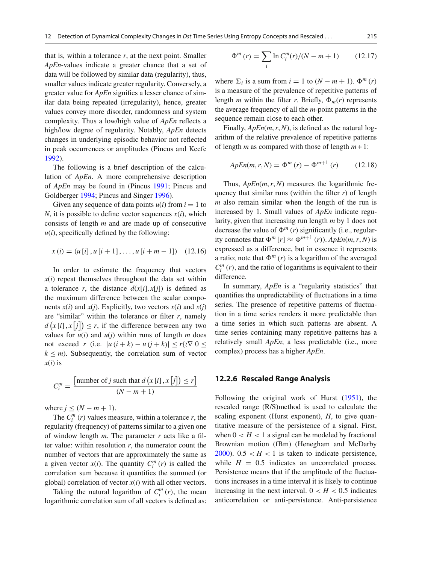that is, within a tolerance  $r$ , at the next point. Smaller *ApEn*-values indicate a greater chance that a set of data will be followed by similar data (regularity), thus, smaller values indicate greater regularity. Conversely, a greater value for *ApEn* signifies a lesser chance of similar data being repeated (irregularity), hence, greater values convey more disorder, randomness and system complexity. Thus a low/high value of *ApEn* reflects a high/low degree of regularity. Notably, *ApEn* detects changes in underlying episodic behavior not reflected in peak occurrences or amplitudes (Pincus and Keefe [1992\)](#page-9-12).

The following is a brief description of the calculation of *ApEn*. A more comprehensive description of *ApEn* may be found in (Pincus [1991;](#page-9-9) Pincus and Goldberger [1994;](#page-9-10) Pincus and Singer [1996\)](#page-9-11).

Given any sequence of data points  $u(i)$  from  $i = 1$  to *N*, it is possible to define vector sequences  $x(i)$ , which consists of length *m* and are made up of consecutive  $u(i)$ , specifically defined by the following:

$$
x(i) = (u[i], u[i+1], \dots, u[i+m-1]) \quad (12.16)
$$

In order to estimate the frequency that vectors *x*(*i*) repeat themselves throughout the data set within a tolerance *r*, the distance  $d(x[i], x[j])$  is defined as the maximum difference between the scalar components  $x(i)$  and  $x(j)$ . Explicitly, two vectors  $x(i)$  and  $x(j)$ are "similar" within the tolerance or filter  $r$ , namely  $d(x[i], x[j]) \leq r$ , if the difference between any two values for  $u(i)$  and  $u(j)$  within runs of length  $m$  does not exceed *r* (i.e.  $|u(i + k) - u(j + k)| \le r \{v \le 0 \le k \}$  $k \leq m$ ). Subsequently, the correlation sum of vector  $x(i)$  is

$$
C_i^m = \frac{\left[\text{number of } j \text{ such that } d\left(x[i], x[j]\right) \le r\right]}{(N-m+1)}
$$

where  $j \leq (N - m + 1)$ .

The  $C_i^m(r)$  values measure, within a tolerance *r*, the regularity (frequency) of patterns similar to a given one of window length *m*. The parameter *r* acts like a filter value: within resolution *r*, the numerator count the number of vectors that are approximately the same as a given vector  $x(i)$ . The quantity  $C_i^m(r)$  is called the correlation sum because it quantifies the summed (or global) correlation of vector *x*(*i*) with all other vectors.

Taking the natural logarithm of  $C_i^m(r)$ , the mean logarithmic correlation sum of all vectors is defined as:

$$
\Phi^{m}(r) = \sum_{i} \ln C_{i}^{m}(r)/(N - m + 1)
$$
 (12.17)

where  $\Sigma_i$  is a sum from  $i = 1$  to  $(N - m + 1)$ .  $\Phi^m(r)$ is a measure of the prevalence of repetitive patterns of length *m* within the filter *r*. Briefly,  $\Phi_m(r)$  represents the average frequency of all the *m*-point patterns in the sequence remain close to each other.

Finally, *ApEn*(*m*,*r*,*N*), is defined as the natural logarithm of the relative prevalence of repetitive patterns of length *m* as compared with those of length *m* + 1:

$$
ApEn(m, r, N) = \Phi^{m}(r) - \Phi^{m+1}(r) \qquad (12.18)
$$

Thus, *ApEn*(*m*,*r*,*N*) measures the logarithmic frequency that similar runs (within the filter  $r$ ) of length *m* also remain similar when the length of the run is increased by 1. Small values of *ApEn* indicate regularity, given that increasing run length *m* by 1 does not decrease the value of  $\Phi^m(r)$  significantly (i.e., regularity connotes that  $\Phi^m[r] \approx \Phi^{m+1}(r)$ . *ApEn(m, r, N)* is expressed as a difference, but in essence it represents a ratio; note that  $\Phi^m(r)$  is a logarithm of the averaged  $C_i^m(r)$ , and the ratio of logarithms is equivalent to their difference.

In summary, *ApEn* is a "regularity statistics" that quantifies the unpredictability of fluctuations in a time series. The presence of repetitive patterns of fluctuation in a time series renders it more predictable than a time series in which such patterns are absent. A time series containing many repetitive patterns has a relatively small *ApEn*; a less predictable (i.e., more complex) process has a higher *ApEn*.

## **12.2.6 Rescaled Range Analysis**

Following the original work of Hurst [\(1951\)](#page-8-11), the rescaled range (R/S)method is used to calculate the scaling exponent (Hurst exponent), *H*, to give quantitative measure of the persistence of a signal. First, when  $0 < H < 1$  a signal can be modeled by fractional Brownian motion (fBm) (Henegham and McDarby [2000\)](#page-8-12).  $0.5 < H < 1$  is taken to indicate persistence, while  $H = 0.5$  indicates an uncorrelated process. Persistence means that if the amplitude of the fluctuations increases in a time interval it is likely to continue increasing in the next interval.  $0 < H < 0.5$  indicates anticorrelation or anti-persistence. Anti-persistence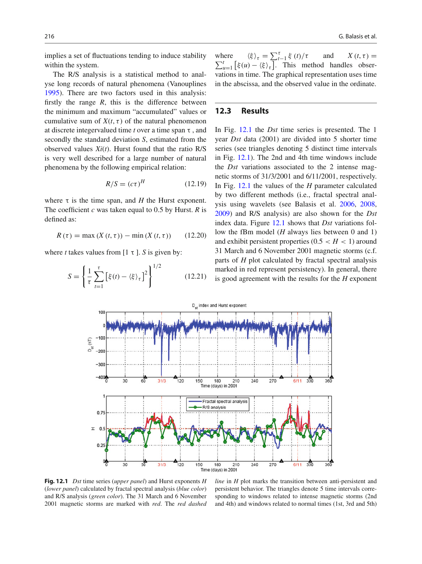implies a set of fluctuations tending to induce stability within the system.

The R/S analysis is a statistical method to analyse long records of natural phenomena (Vanouplines [1995\)](#page-9-13). There are two factors used in this analysis: firstly the range *R*, this is the difference between the minimum and maximum "accumulated" values or cumulative sum of  $X(t, \tau)$  of the natural phenomenon at discrete integervalued time *t* over a time span τ , and secondly the standard deviation *S*, estimated from the observed values *Xi*(*t*). Hurst found that the ratio R/S is very well described for a large number of natural phenomena by the following empirical relation:

$$
R/S = (c\tau)^H \tag{12.19}
$$

where  $\tau$  is the time span, and *H* the Hurst exponent. The coefficient *c* was taken equal to 0.5 by Hurst. *R* is defined as:

$$
R(\tau) = \max(X(t, \tau)) - \min(X(t, \tau)) \qquad (12.20)
$$

where *t* takes values from  $[1 \tau]$ . *S* is given by:

$$
S = \left\{ \frac{1}{\tau} \sum_{t=1}^{\tau} \left[ \xi(t) - \langle \xi \rangle_{\tau} \right]^2 \right\}^{1/2} \tag{12.21}
$$

216 G. Balasis et al.

where  $\langle \xi \rangle_{\tau} = \sum_{t=1}^{\tau}$ where  $\langle \xi \rangle_{\tau} = \sum_{t=1}^{\tau} \xi(t)/\tau$  and  $X(t, \tau) = \sum_{u=1}^{t} [\xi(u) - \langle \xi \rangle_{\tau}]$ . This method handles observations in time. The graphical representation uses time in the abscissa, and the observed value in the ordinate.

## **12.3 Results**

In Fig. [12.1](#page-5-0) the *Dst* time series is presented. The 1 year *Dst* data (2001) are divided into 5 shorter time series (see triangles denoting 5 distinct time intervals in Fig. [12.1\)](#page-5-0). The 2nd and 4th time windows include the *Dst* variations associated to the 2 intense magnetic storms of 31/3/2001 and 6/11/2001, respectively. In Fig. [12.1](#page-5-0) the values of the *H* parameter calculated by two different methods (i.e., fractal spectral analysis using wavelets (see Balasis et al. [2006,](#page-8-3) [2008,](#page-8-0) [2009\)](#page-8-1) and R/S analysis) are also shown for the *Dst* index data. Figure [12.1](#page-5-0) shows that *Dst* variations follow the fBm model (*H* always lies between 0 and 1) and exhibit persistent properties  $(0.5 < H < 1)$  around 31 March and 6 November 2001 magnetic storms (c.f. parts of *H* plot calculated by fractal spectral analysis marked in red represent persistency). In general, there is good agreement with the results for the *H* exponent

<span id="page-5-0"></span>

**Fig. 12.1** *Dst* time series (*upper panel*) and Hurst exponents *H* (*lower panel*) calculated by fractal spectral analysis (*blue color*) and R/S analysis (*green color*). The 31 March and 6 November 2001 magnetic storms are marked with *red*. The *red dashed*

*line* in *H* plot marks the transition between anti-persistent and persistent behavior. The triangles denote 5 time intervals corresponding to windows related to intense magnetic storms (2nd and 4th) and windows related to normal times (1st, 3rd and 5th)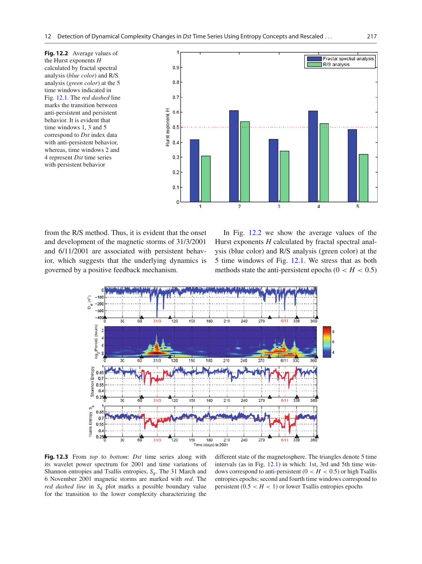<span id="page-6-0"></span>



from the R/S method. Thus, it is evident that the onset and development of the magnetic storms of 31/3/2001 and 6/11/2001 are associated with persistent behavior, which suggests that the underlying dynamics is governed by a positive feedback mechanism.

In Fig. [12.2](#page-6-0) we show the average values of the Hurst exponents *H* calculated by fractal spectral analysis (blue color) and R/S analysis (green color) at the 5 time windows of Fig. [12.1.](#page-5-0) We stress that as both methods state the anti-persistent epochs  $(0 < H < 0.5)$ 

<span id="page-6-1"></span>

**Fig. 12.3** From *top* to *bottom*: *Dst* time series along with its wavelet power spectrum for 2001 and time variations of Shannon entropies and Tsallis entropies, *Sq*. The 31 March and 6 November 2001 magnetic storms are marked with *red*. The *red dashed line* in *Sq* plot marks a possible boundary value for the transition to the lower complexity characterizing the

different state of the magnetosphere. The triangles denote 5 time intervals (as in Fig. [12.1\)](#page-5-0) in which: 1st, 3rd and 5th time windows correspond to anti-persistent  $(0 < H < 0.5)$  or high Tsallis entropies epochs; second and fourth time windows correspond to persistent  $(0.5 < H < 1)$  or lower Tsallis entropies epochs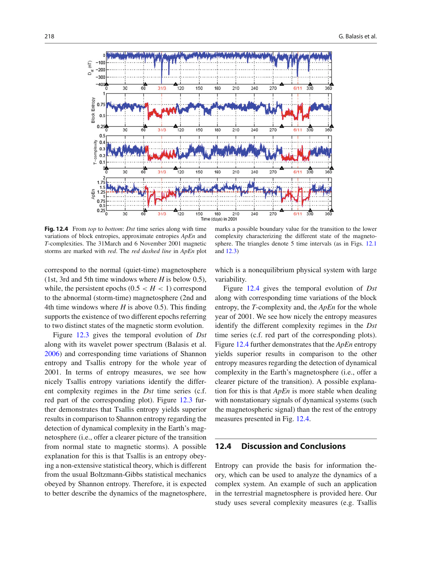<span id="page-7-0"></span>

**Fig. 12.4** From *top* to *bottom*: *Dst* time series along with time variations of block entropies, approximate entropies *ApEn* and *T*-complexities. The 31March and 6 November 2001 magnetic storms are marked with *red*. The *red dashed line* in *ApEn* plot

correspond to the normal (quiet-time) magnetosphere (1st, 3rd and 5th time windows where *H* is below 0.5), while, the persistent epochs  $(0.5 < H < 1)$  correspond to the abnormal (storm-time) magnetosphere (2nd and 4th time windows where *H* is above 0.5). This finding supports the existence of two different epochs referring to two distinct states of the magnetic storm evolution.

Figure [12.3](#page-6-1) gives the temporal evolution of *Dst* along with its wavelet power spectrum (Balasis et al. [2006\)](#page-8-3) and corresponding time variations of Shannon entropy and Tsallis entropy for the whole year of 2001. In terms of entropy measures, we see how nicely Tsallis entropy variations identify the different complexity regimes in the *Dst* time series (c.f. red part of the corresponding plot). Figure [12.3](#page-6-1) further demonstrates that Tsallis entropy yields superior results in comparison to Shannon entropy regarding the detection of dynamical complexity in the Earth's magnetosphere (i.e., offer a clearer picture of the transition from normal state to magnetic storms). A possible explanation for this is that Tsallis is an entropy obeying a non-extensive statistical theory, which is different from the usual Boltzmann-Gibbs statistical mechanics obeyed by Shannon entropy. Therefore, it is expected to better describe the dynamics of the magnetosphere,

marks a possible boundary value for the transition to the lower complexity characterizing the different state of the magnetosphere. The triangles denote 5 time intervals (as in Figs. [12.1](#page-5-0) and [12.3\)](#page-6-1)

which is a nonequilibrium physical system with large variability.

Figure [12.4](#page-7-0) gives the temporal evolution of *Dst* along with corresponding time variations of the block entropy, the *T*-complexity and, the *ApEn* for the whole year of 2001. We see how nicely the entropy measures identify the different complexity regimes in the *Dst* time series (c.f. red part of the corresponding plots). Figure [12.4](#page-7-0) further demonstrates that the *ApEn* entropy yields superior results in comparison to the other entropy measures regarding the detection of dynamical complexity in the Earth's magnetosphere (i.e., offer a clearer picture of the transition). A possible explanation for this is that *ApEn* is more stable when dealing with nonstationary signals of dynamical systems (such the magnetospheric signal) than the rest of the entropy measures presented in Fig. [12.4.](#page-7-0)

# **12.4 Discussion and Conclusions**

Entropy can provide the basis for information theory, which can be used to analyze the dynamics of a complex system. An example of such an application in the terrestrial magnetosphere is provided here. Our study uses several complexity measures (e.g. Tsallis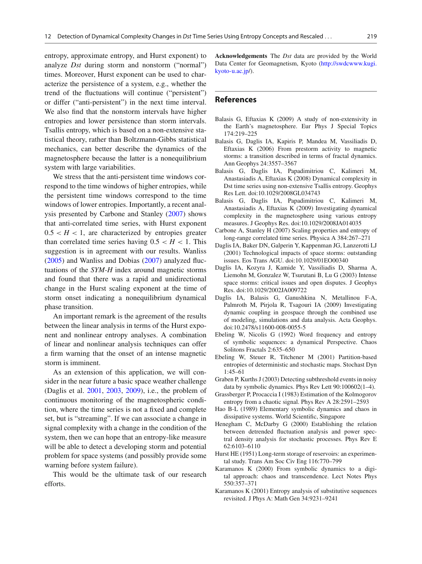entropy, approximate entropy, and Hurst exponent) to analyze *Dst* during storm and nonstorm ("normal") times. Moreover, Hurst exponent can be used to characterize the persistence of a system, e.g., whether the trend of the fluctuations will continue ("persistent") or differ ("anti-persistent") in the next time interval. We also find that the nonstorm intervals have higher entropies and lower persistence than storm intervals. Tsallis entropy, which is based on a non-extensive statistical theory, rather than Boltzmann-Gibbs statistical mechanics, can better describe the dynamics of the magnetosphere because the latter is a nonequilibrium system with large variabilities.

We stress that the anti-persistent time windows correspond to the time windows of higher entropies, while the persistent time windows correspond to the time windows of lower entropies. Importantly, a recent analysis presented by Carbone and Stanley [\(2007\)](#page-8-13) shows that anti-correlated time series, with Hurst exponent  $0.5 < H < 1$ , are characterized by entropies greater than correlated time series having  $0.5 < H < 1$ . This suggestion is in agreement with our results. Wanliss [\(2005\)](#page-9-14) and Wanliss and Dobias [\(2007\)](#page-9-15) analyzed fluctuations of the *SYM-H* index around magnetic storms and found that there was a rapid and unidirectional change in the Hurst scaling exponent at the time of storm onset indicating a nonequilibrium dynamical phase transition.

An important remark is the agreement of the results between the linear analysis in terms of the Hurst exponent and nonlinear entropy analyses. A combination of linear and nonlinear analysis techniques can offer a firm warning that the onset of an intense magnetic storm is imminent.

As an extension of this application, we will consider in the near future a basic space weather challenge (Daglis et al. [2001,](#page-8-14) [2003,](#page-8-15) [2009\)](#page-8-16), i.e., the problem of continuous monitoring of the magnetospheric condition, where the time series is not a fixed and complete set, but is "streaming". If we can associate a change in signal complexity with a change in the condition of the system, then we can hope that an entropy-like measure will be able to detect a developing storm and potential problem for space systems (and possibly provide some warning before system failure).

This would be the ultimate task of our research efforts.

**Acknowledgements** The *Dst* data are provided by the World Data Center for Geomagnetism, Kyoto [\(http://swdcwww.kugi.](http://swdcwww.kugi.kyoto-u.ac.jp) [kyoto-u.ac.jp/](http://swdcwww.kugi.kyoto-u.ac.jp)).

## **References**

- <span id="page-8-2"></span>Balasis G, Eftaxias K (2009) A study of non-extensivity in the Earth's magnetosphere. Eur Phys J Special Topics 174:219–225
- <span id="page-8-3"></span>Balasis G, Daglis IA, Kapiris P, Mandea M, Vassiliadis D, Eftaxias K (2006) From prestorm activity to magnetic storms: a transition described in terms of fractal dynamics. Ann Geophys 24:3557–3567
- <span id="page-8-0"></span>Balasis G, Daglis IA, Papadimitriou C, Kalimeri M, Anastasiadis A, Eftaxias K (2008) Dynamical complexity in Dst time series using non-extensive Tsallis entropy. Geophys Res Lett. doi:10.1029/2008GL034743
- <span id="page-8-1"></span>Balasis G, Daglis IA, Papadimitriou C, Kalimeri M, Anastasiadis A, Eftaxias K (2009) Investigating dynamical complexity in the magnetosphere using various entropy measures. J Geophys Res. doi:10.1029/2008JA014035
- <span id="page-8-13"></span>Carbone A, Stanley H (2007) Scaling properties and entropy of long-range correlated time series. Physica A 384:267–271
- <span id="page-8-14"></span>Daglis IA, Baker DN, Galperin Y, Kappenman JG, Lanzerotti LJ (2001) Technological impacts of space storms: outstanding issues. Eos Trans AGU. doi:10.1029/01EO00340
- <span id="page-8-15"></span>Daglis IA, Kozyra J, Kamide Y, Vassiliadis D, Sharma A, Liemohn M, Gonzalez W, Tsurutani B, Lu G (2003) Intense space storms: critical issues and open disputes. J Geophys Res. doi:10.1029/2002JA009722
- <span id="page-8-16"></span>Daglis IA, Balasis G, Ganushkina N, Metallinou F-A, Palmroth M, Pirjola R, Tsagouri IA (2009) Investigating dynamic coupling in geospace through the combined use of modeling, simulations and data analysis. Acta Geophys. doi:10.2478/s11600-008-0055-5
- <span id="page-8-8"></span>Ebeling W, Nicolis G (1992) Word frequency and entropy of symbolic sequences: a dynamical Perspective. Chaos Solitons Fractals 2:635–650
- <span id="page-8-9"></span>Ebeling W, Steuer R, Titchener M (2001) Partition-based entropies of deterministic and stochastic maps. Stochast Dyn 1:45–61
- <span id="page-8-5"></span>Graben P, Kurths J (2003) Detecting subthreshold events in noisy data by symbolic dynamics. Phys Rev Lett 90:100602(1–4).
- <span id="page-8-10"></span>Grassberger P, Procaccia I (1983) Estimation of the Kolmogorov entropy from a chaotic signal. Phys Rev A 28:2591–2593
- <span id="page-8-4"></span>Hao B-L (1989) Elementary symbolic dynamics and chaos in dissipative systems. World Scientific, Singapore
- <span id="page-8-12"></span>Henegham C, McDarby G (2000) Establishing the relation between detrended fluctuation analysis and power spectral density analysis for stochastic processes. Phys Rev E 62:6103–6110
- <span id="page-8-11"></span>Hurst HE (1951) Long-term storage of reservoirs: an experimental study. Trans Am Soc Civ Eng 116:770–799
- <span id="page-8-6"></span>Karamanos K (2000) From symbolic dynamics to a digital approach: chaos and transcendence. Lect Notes Phys 550:357–371
- <span id="page-8-7"></span>Karamanos K (2001) Entropy analysis of substitutive sequences revisited. J Phys A: Math Gen 34:9231–9241